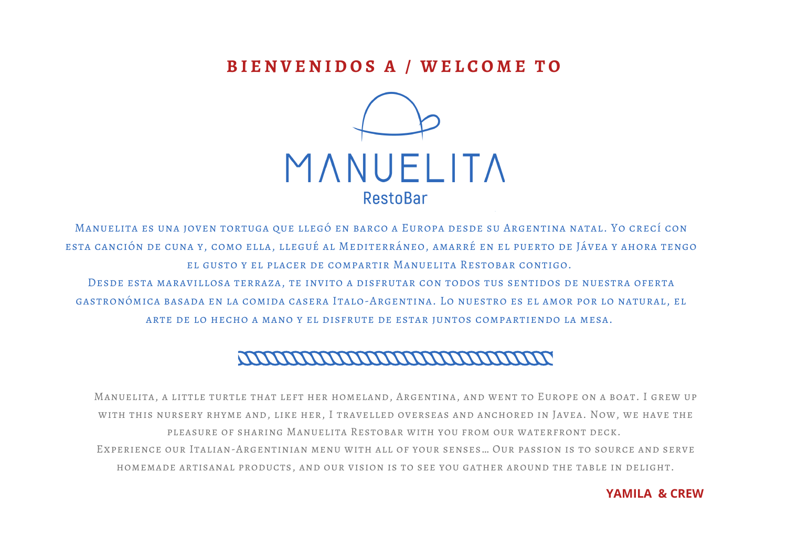## **B I E N V E N I D O S A / W E L C O M E T O**



Manuelita es una joven tortuga que llegó en barco a Europa desde su Argentina natal. Yo crecí con esta canción de cuna y, como ella, llegué al Mediterráneo, amarré en el puerto de Jávea y ahora tengo el gusto y el placer de compartir Manuelita Restobar contigo.

Desde esta maravillosa terraza, te invito a disfrutar con todos tus sentidos de nuestra oferta gastronómica basada en la comida casera Italo-Argentina. Lo nuestro es el amor por lo natural, el arte de lo hecho a mano y el disfrute de estar juntos compartiendo la mesa.

## <u>MMMMMMMMMMMMMM</u>

Manuelita, a little turtle that left her homeland, Argentina, and went to Europe on a boat. I grew up with this nursery rhyme and, like her, I travelled overseas and anchored in Javea. Now, we have the pleasure of sharing Manuelita Restobar with you from our waterfront deck. Experience our Italian-Argentinian menu with all of your senses… Our passion is to source and serve homemade artisanal products, and our vision is to see you gather around the table in delight.

#### **YAMILA & CREW**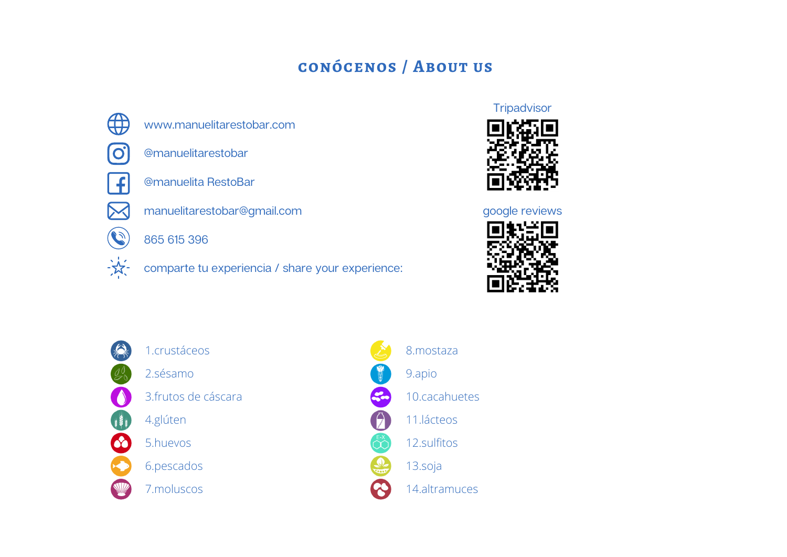# **conócenos / About us**



www.manuelitarestobar.com



@manuelitarestobar



@manuelita RestoBar



 $\mathcal{C}$ 

-52.

manuelitarestobar@gmail.com

865 615 396

comparte tu experiencia / share your experience:

### **Tripadvisor**



#### google reviews





- 1.crustáceos
- 2.sésamo
- 3.frutos de cáscara
- 4.glúten
- 5.huevos
- 6.pescados
- 7.moluscos

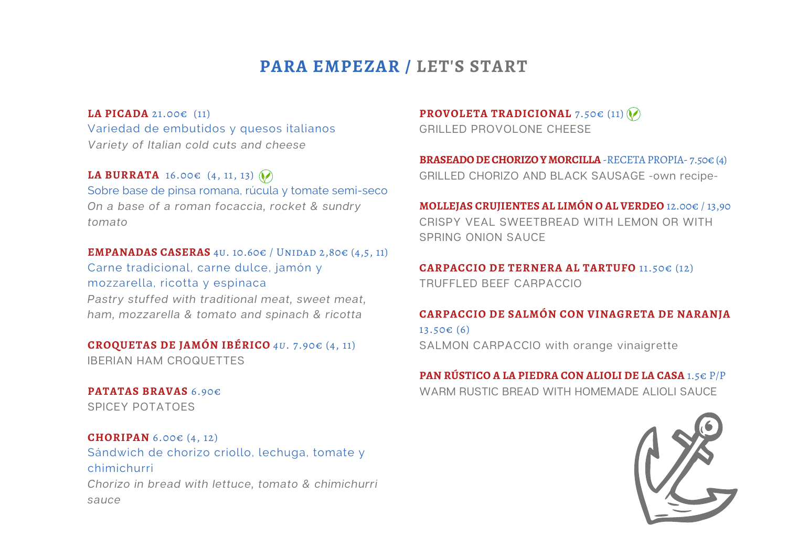# **PARA EMPEZAR / LET'S START**

**LA PICADA** 21.00€ (11) Variedad de embutidos y quesos italianos Variety of Italian cold cuts and cheese

**LA BURRATA** 16.00€  $(4, 11, 13)$ Sobre base de pinsa romana, rúcula y tomate semi-seco On a base of a roman focaccia, rocket & sundry tomato

#### **EMPANADAS CASERAS** 4U. 10.60€ / UNIDAD 2,80€  $(4,5, 11)$

Carne tradicional, carne dulce, jamón y mozzarella, ricotta y espinaca

Pastry stuffed with traditional meat, sweet meat, ham, mozzarella & tomato and spinach & ricotta

#### **CROQUETAS DE JAMÓN IBÉRICO** *4u*. 7.90€ (4, 11) IBERIAN HAM CROQUETTES

**PATATAS BRAVAS** 6.90€ SPICEY POTATOES

#### **CHORIPAN** 6.00€ (4, 12)

Sándwich de chorizo criollo, lechuga, tomate y chimichurri Chorizo in bread with lettuce, tomato & chimichurri sauce

#### **PROVOLETA TRADICIONAL 7.50€ (11) (** $\lozenge$ **)**

GRILLED PROVOLONE CHEESE

**BRASEADO DE CHORIZO Y MORCILLA** -RECETA PROPIA- 7.50€ (4) GRILLED CHORIZO AND BLACK SAUSAGE -own recipe-

**MOLLEJAS CRUJIENTES AL LIMÓN O AL VERDEO** 12.00€ / 13,90 CRISPY VEAL SWEETBREAD WITH LEMON OR WITH SPRING ONION SAUCE

**CARPACCIO DE TERNERA AL TARTUFO** 11.50€ (12) TRUFFLED BEEF CARPACCIO

#### **CARPACCIO DE SALMÓN CON VINAGRETA DE NARANJA**

13.50€ (6) SALMON CARPACCIO with orange vinaigrette

# **PAN RÚSTICO A LA PIEDRA CON ALIOLI DE LA CASA** 1.5€ P/P

WARM RUSTIC BREAD WITH HOMEMADE ALIOLI SAUCE

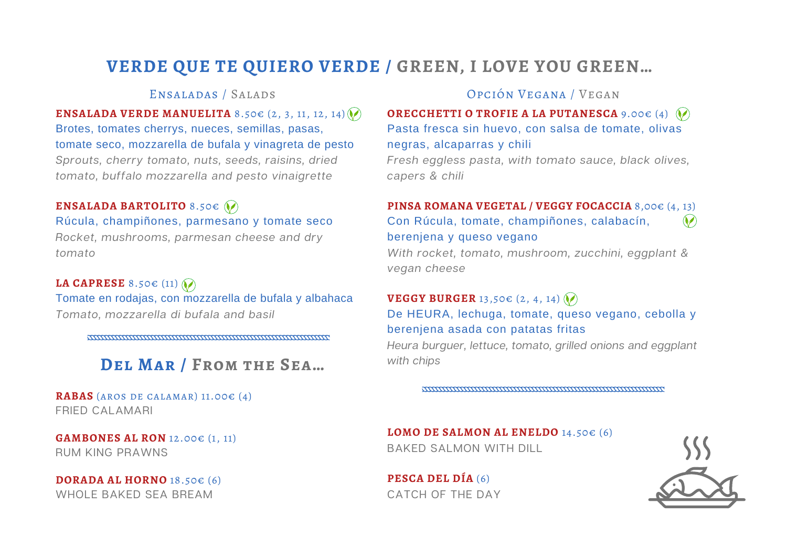# **VERDE QUE TE QUIERO VERDE / GREEN, I LOVE YOU GREEN…**

### Ensaladas / Salads

**ENSALADA VERDE MANUELITA** 8.50€ (2, 3, 11, 12, 14)  $\lozenge$ Brotes, tomates cherrys, nueces, semillas, pasas, tomate seco, mozzarella de bufala y vinagreta de pesto Sprouts, cherry tomato, nuts, seeds, raisins, dried tomato, buffalo mozzarella and pesto vinaigrette

### **ENSALADA BARTOLITO** 8.50€

Rúcula, champiñones, parmesano y tomate seco Rocket, mushrooms, parmesan cheese and dry tomato

**LA CAPRESE** 8.50€ (11) Tomate en rodajas, con mozzarella de bufala y albahaca Tomato, mozzarella di bufala and basil

<u>mmmmmmmmmmmmmmmmmmmmmmm</u>

# **Del Mar / From the Sea…**

**RABAS** (aros de calamar) 11.00€ (4) FRIED CALAMARI

**GAMBONES AL RON** 12.00€ (1, 11) RUM KING PRAWNS

**DORADA AL HORNO** 18.50€ (6) WHOLE BAKED SEA BREAM

### Opción Vegana / Vegan

**ORECCHETTI O TROFIE A LA PUTANESCA** 9.00€ (4) Pasta fresca sin huevo, con salsa de tomate, olivas negras, alcaparras y chili

Fresh eggless pasta, with tomato sauce, black olives, capers & chili

#### **PINSA ROMANA VEGETAL / VEGGY FOCACCIA** 8,00€ (4, 13) Con Rúcula, tomate, champiñones, calabacín,  $\odot$

berenjena y queso vegano

With rocket, tomato, mushroom, zucchini, eggplant & vegan cheese

### **VEGGY BURGER** 13,50€ (2, 4, 14) De HEURA, lechuga, tomate, queso vegano, cebolla y berenjena asada con patatas fritas

Heura burguer, lettuce, tomato, grilled onions and eggplant with chips

<u> ANTIQUE AN ANTIQUE ANNO 1999 ANNO 1999 ANNO 1999 ANNO 1999 ANNO 1999 ANNO 1999 ANNO 1999 ANNO 1999 ANNO 1999 A</u>

**LOMO DE SALMON AL ENELDO** 14.50€ (6) BAKED SALMON WITH DILL

**PESCA DEL DÍA** (6) CATCH OF THE DAY

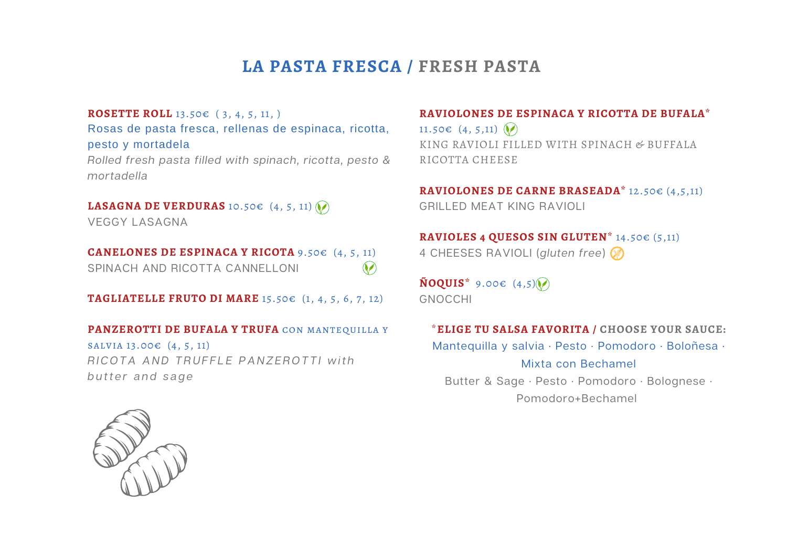# **LA PASTA FRESCA / FRESH PASTA**

#### **ROSETTE ROLL** 13.50€ ( 3, 4, 5, 11, )

Rosas de pasta fresca, rellenas de espinaca, ricotta, pesto y mortadela

Rolled fresh pasta filled with spinach, ricotta, pesto & mortadella

### **LASAGNA DE VERDURAS** 10.50€ (4, 5, 11)

VEGGY LASAGNA

**CANELONES DE ESPINACA Y RICOTA** 9.50€ (4, 5, 11)  $\bigcirc$ SPINACH AND RICOTTA CANNELLONI

**TAGLIATELLE FRUTO DI MARE** 15.50€ (1, 4, 5, 6, 7, 12)

#### **PANZEROTTI DE BUFALA Y TRUFA** con mantequilla y

salvia 13.00€ (4, 5, 11) RICOTA AND TRUFFLE PANZEROTTI with butter and sage

#### **RAVIOLONES DE ESPINACA Y RICOTTA DE BUFALA\***

11.50€  $(4, 5, 11)$ KING RAVIOLI FILLED WITH SPINACH & BUFFALA RICOTTA CHEESE

#### **RAVIOLONES DE CARNE BRASEADA\*** 12.50€ (4,5,11) GRILLED MEAT KING RAVIOLI

#### **RAVIOLES 4 QUESOS SIN GLUTEN\*** 14.50€ (5,11)

4 CHEESES RAVIOLI (gluten free)

**ÑOQUIS\*** 9.00€ (4,5) GNOCCHI

#### \***ELIGE TU SALSA FAVORITA / CHOOSE YOUR SAUCE:**

Mantequilla y salvia · Pesto · Pomodoro · Boloñesa · Mixta con Bechamel Butter & Sage · Pesto · Pomodoro · Bolognese · Pomodoro+Bechamel

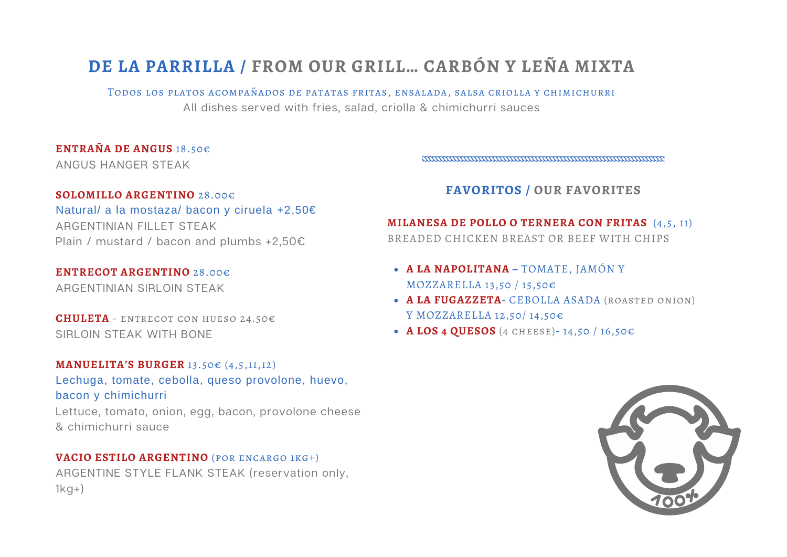# **DE LA PARRILLA / FROM OUR GRILL… CARBÓN Y LEÑA MIXTA**

Todos los platos acompañados de patatas fritas, ensalada, salsa criolla y chimichurri All dishes served with fries, salad, criolla & chimichurri sauces

#### **ENTRAÑA DE ANGUS** 18.50€

ANGUS HANGER STEAK

mmmmmmmmmmmmmmmmmmmmmmmmmm

#### **SOLOMILLO ARGENTINO** 28.00€

Natural/ a la mostaza/ bacon y ciruela +2,50€ ARGENTINIAN FILLET STEAK Plain / mustard / bacon and plumbs +2,50€

#### **ENTRECOT ARGENTINO** 28.00€

ARGENTINIAN SIRLOIN STEAK

**CHULETA** - entrecot con hueso 24.50€ SIRLOIN STEAK WITH BONE

#### **MANUELITA'S BURGER** 13.50€ (4,5,11,12)

Lechuga, tomate, cebolla, queso provolone, huevo, bacon y chimichurri

Lettuce, tomato, onion, egg, bacon, provolone cheese & chimichurri sauce

#### **VACIO ESTILO ARGENTINO** (por encargo 1kg+)

ARGENTINE STYLE FLANK STEAK (reservation only,  $1kg+$ 

### **FAVORITOS / OUR FAVORITES**

# **MILANESA DE POLLO O TERNERA CON FRITAS** (4,5, 11)

BREADED CHICKEN BREAST OR BEEF WITH CHIPS

- **A LA NAPOLITANA –** TOMATE, JAMÓN Y MOZZARELLA 13,50 / 15,50€
- **A LA FUGAZZETA-** CEBOLLA ASADA (roasted onion) Y MOZZARELLA 12,50/ 14,50€
- **A LOS 4 QUESOS** (4 cheese)**-** 14,50 / 16,50€